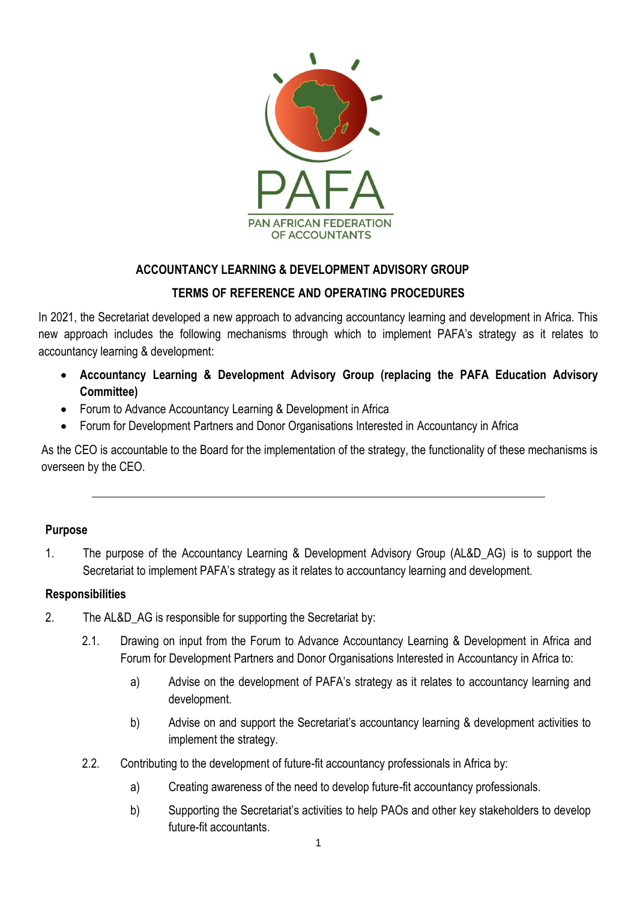

## **ACCOUNTANCY LEARNING & DEVELOPMENT ADVISORY GROUP**

#### **TERMS OF REFERENCE AND OPERATING PROCEDURES**

In 2021, the Secretariat developed a new approach to advancing accountancy learning and development in Africa. This new approach includes the following mechanisms through which to implement PAFA's strategy as it relates to accountancy learning & development:

- **Accountancy Learning & Development Advisory Group (replacing the PAFA Education Advisory Committee)**
- Forum to Advance Accountancy Learning & Development in Africa
- Forum for Development Partners and Donor Organisations Interested in Accountancy in Africa

As the CEO is accountable to the Board for the implementation of the strategy, the functionality of these mechanisms is overseen by the CEO.

#### **Purpose**

1. The purpose of the Accountancy Learning & Development Advisory Group (AL&D\_AG) is to support the Secretariat to implement PAFA's strategy as it relates to accountancy learning and development.

#### **Responsibilities**

- 2. The AL&D AG is responsible for supporting the Secretariat by:
	- 2.1. Drawing on input from the Forum to Advance Accountancy Learning & Development in Africa and Forum for Development Partners and Donor Organisations Interested in Accountancy in Africa to:
		- a) Advise on the development of PAFA's strategy as it relates to accountancy learning and development.
		- b) Advise on and support the Secretariat's accountancy learning & development activities to implement the strategy.
	- 2.2. Contributing to the development of future-fit accountancy professionals in Africa by:
		- a) Creating awareness of the need to develop future-fit accountancy professionals.
		- b) Supporting the Secretariat's activities to help PAOs and other key stakeholders to develop future-fit accountants.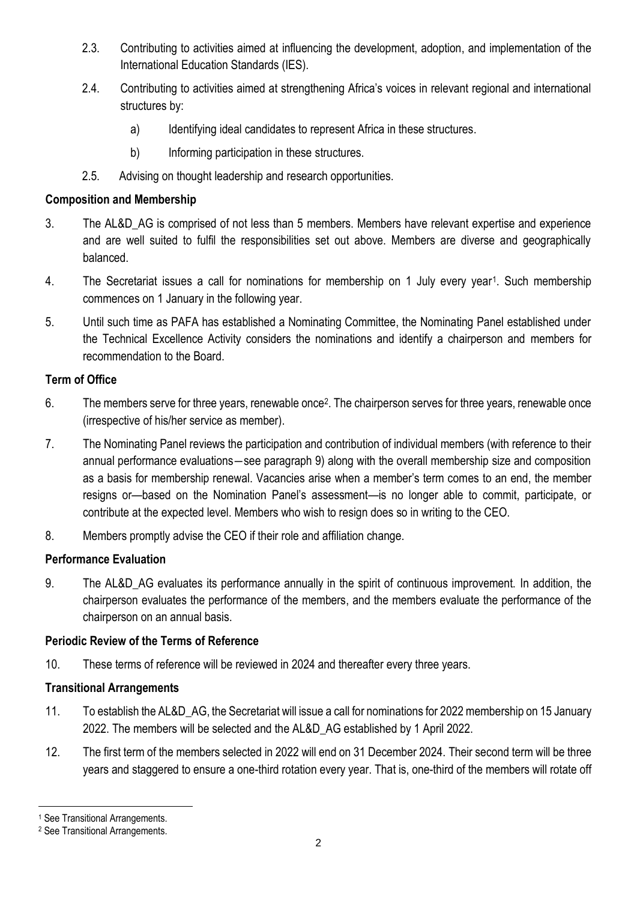- 2.3. Contributing to activities aimed at influencing the development, adoption, and implementation of the International Education Standards (IES).
- 2.4. Contributing to activities aimed at strengthening Africa's voices in relevant regional and international structures by:
	- a) Identifying ideal candidates to represent Africa in these structures.
	- b) Informing participation in these structures.
- 2.5. Advising on thought leadership and research opportunities.

#### **Composition and Membership**

- 3. The AL&D\_AG is comprised of not less than 5 members. Members have relevant expertise and experience and are well suited to fulfil the responsibilities set out above. Members are diverse and geographically balanced.
- 4. The Secretariat issues a call for nominations for membership on 1 July every year<sup>1</sup>. Such membership commences on 1 January in the following year.
- 5. Until such time as PAFA has established a Nominating Committee, the Nominating Panel established under the Technical Excellence Activity considers the nominations and identify a chairperson and members for recommendation to the Board.

# **Term of Office**

- 6. The members serve for three years, renewable once<sup>2</sup>. The chairperson serves for three years, renewable once (irrespective of his/her service as member).
- 7. The Nominating Panel reviews the participation and contribution of individual members (with reference to their annual performance evaluations―see paragraph 9) along with the overall membership size and composition as a basis for membership renewal. Vacancies arise when a member's term comes to an end, the member resigns or—based on the Nomination Panel's assessment—is no longer able to commit, participate, or contribute at the expected level. Members who wish to resign does so in writing to the CEO.
- 8. Members promptly advise the CEO if their role and affiliation change.

# **Performance Evaluation**

9. The AL&D\_AG evaluates its performance annually in the spirit of continuous improvement. In addition, the chairperson evaluates the performance of the members, and the members evaluate the performance of the chairperson on an annual basis.

#### **Periodic Review of the Terms of Reference**

10. These terms of reference will be reviewed in 2024 and thereafter every three years.

# **Transitional Arrangements**

- 11. To establish the AL&D\_AG, the Secretariat will issue a call for nominations for 2022 membership on 15 January 2022. The members will be selected and the AL&D\_AG established by 1 April 2022.
- 12. The first term of the members selected in 2022 will end on 31 December 2024. Their second term will be three years and staggered to ensure a one-third rotation every year. That is, one-third of the members will rotate off

<sup>1</sup> See Transitional Arrangements.

<sup>2</sup> See Transitional Arrangements.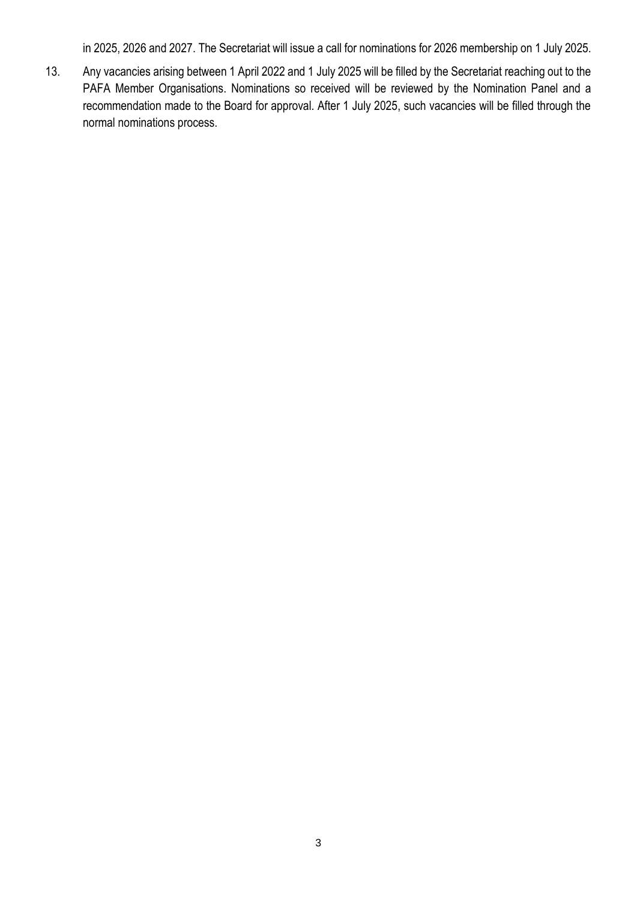in 2025, 2026 and 2027. The Secretariat will issue a call for nominations for 2026 membership on 1 July 2025.

13. Any vacancies arising between 1 April 2022 and 1 July 2025 will be filled by the Secretariat reaching out to the PAFA Member Organisations. Nominations so received will be reviewed by the Nomination Panel and a recommendation made to the Board for approval. After 1 July 2025, such vacancies will be filled through the normal nominations process.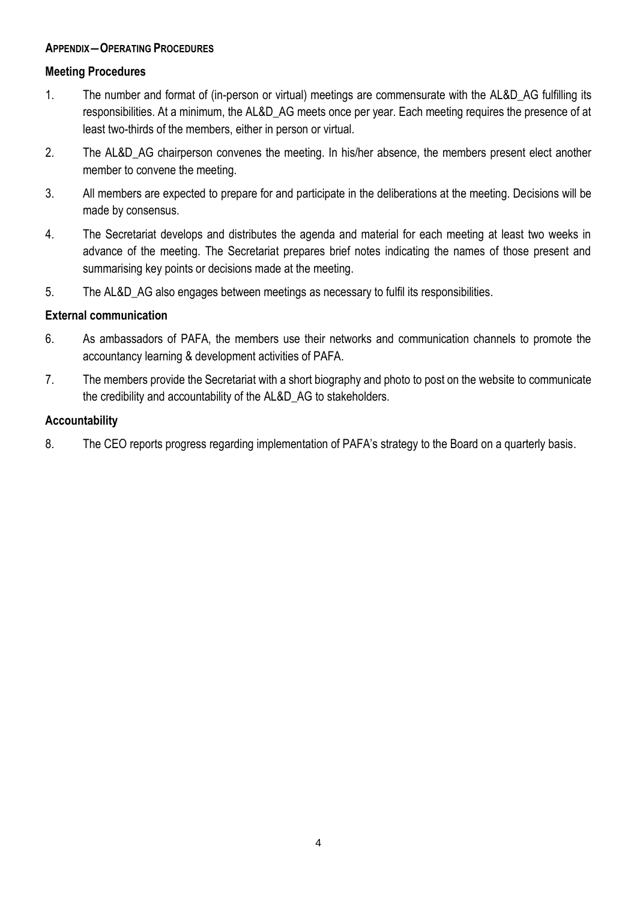#### **APPENDIX―OPERATING PROCEDURES**

#### **Meeting Procedures**

- 1. The number and format of (in-person or virtual) meetings are commensurate with the AL&D\_AG fulfilling its responsibilities. At a minimum, the AL&D\_AG meets once per year. Each meeting requires the presence of at least two-thirds of the members, either in person or virtual.
- 2. The AL&D AG chairperson convenes the meeting. In his/her absence, the members present elect another member to convene the meeting.
- 3. All members are expected to prepare for and participate in the deliberations at the meeting. Decisions will be made by consensus.
- 4. The Secretariat develops and distributes the agenda and material for each meeting at least two weeks in advance of the meeting. The Secretariat prepares brief notes indicating the names of those present and summarising key points or decisions made at the meeting.
- 5. The AL&D\_AG also engages between meetings as necessary to fulfil its responsibilities.

#### **External communication**

- 6. As ambassadors of PAFA, the members use their networks and communication channels to promote the accountancy learning & development activities of PAFA.
- 7. The members provide the Secretariat with a short biography and photo to post on the website to communicate the credibility and accountability of the AL&D\_AG to stakeholders.

#### **Accountability**

8. The CEO reports progress regarding implementation of PAFA's strategy to the Board on a quarterly basis.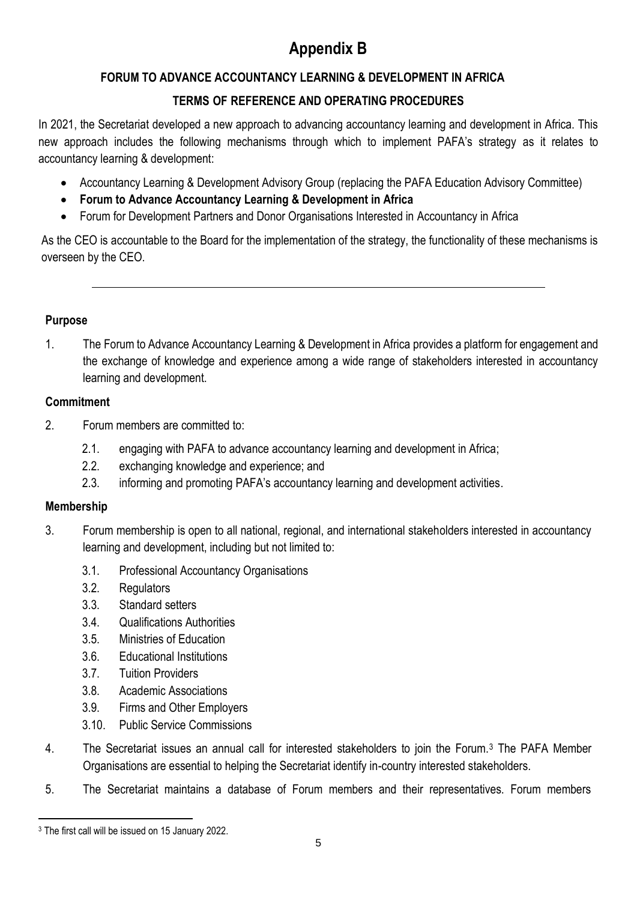# **Appendix B**

# **FORUM TO ADVANCE ACCOUNTANCY LEARNING & DEVELOPMENT IN AFRICA**

# **TERMS OF REFERENCE AND OPERATING PROCEDURES**

In 2021, the Secretariat developed a new approach to advancing accountancy learning and development in Africa. This new approach includes the following mechanisms through which to implement PAFA's strategy as it relates to accountancy learning & development:

- Accountancy Learning & Development Advisory Group (replacing the PAFA Education Advisory Committee)
- **Forum to Advance Accountancy Learning & Development in Africa**
- Forum for Development Partners and Donor Organisations Interested in Accountancy in Africa

As the CEO is accountable to the Board for the implementation of the strategy, the functionality of these mechanisms is overseen by the CEO.

#### **Purpose**

1. The Forum to Advance Accountancy Learning & Development in Africa provides a platform for engagement and the exchange of knowledge and experience among a wide range of stakeholders interested in accountancy learning and development.

#### **Commitment**

- 2. Forum members are committed to:
	- 2.1. engaging with PAFA to advance accountancy learning and development in Africa;
	- 2.2. exchanging knowledge and experience; and
	- 2.3. informing and promoting PAFA's accountancy learning and development activities.

#### **Membership**

- 3. Forum membership is open to all national, regional, and international stakeholders interested in accountancy learning and development, including but not limited to:
	- 3.1. Professional Accountancy Organisations
	- 3.2. Regulators
	- 3.3. Standard setters
	- 3.4. Qualifications Authorities
	- 3.5. Ministries of Education
	- 3.6. Educational Institutions
	- 3.7. Tuition Providers
	- 3.8. Academic Associations
	- 3.9. Firms and Other Employers
	- 3.10. Public Service Commissions
- 4. The Secretariat issues an annual call for interested stakeholders to join the Forum.<sup>3</sup> The PAFA Member Organisations are essential to helping the Secretariat identify in-country interested stakeholders.
- 5. The Secretariat maintains a database of Forum members and their representatives. Forum members

<sup>3</sup> The first call will be issued on 15 January 2022.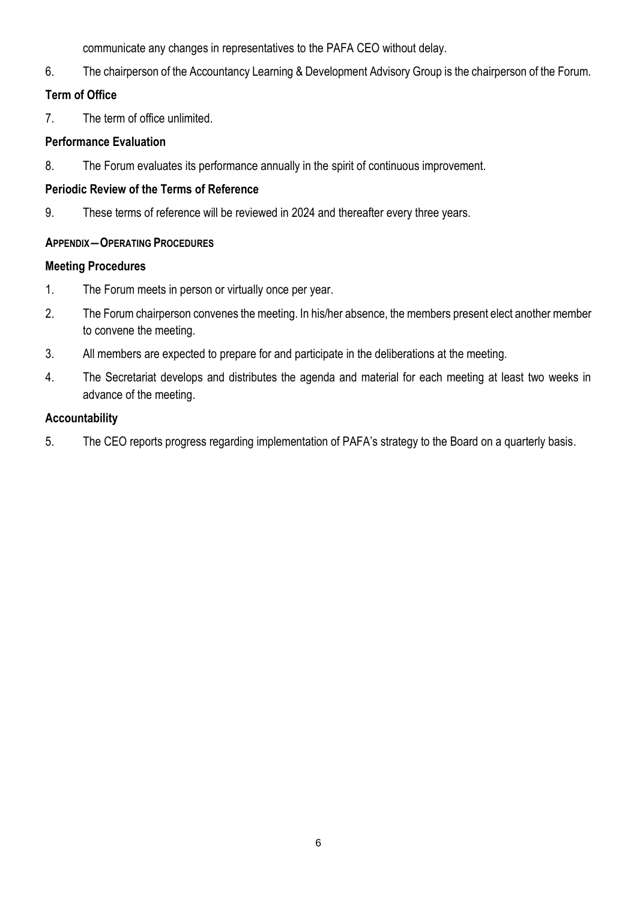communicate any changes in representatives to the PAFA CEO without delay.

6. The chairperson of the Accountancy Learning & Development Advisory Group is the chairperson of the Forum.

# **Term of Office**

7. The term of office unlimited.

#### **Performance Evaluation**

8. The Forum evaluates its performance annually in the spirit of continuous improvement.

# **Periodic Review of the Terms of Reference**

9. These terms of reference will be reviewed in 2024 and thereafter every three years.

## **APPENDIX―OPERATING PROCEDURES**

## **Meeting Procedures**

- 1. The Forum meets in person or virtually once per year.
- 2. The Forum chairperson convenes the meeting. In his/her absence, the members present elect another member to convene the meeting.
- 3. All members are expected to prepare for and participate in the deliberations at the meeting.
- 4. The Secretariat develops and distributes the agenda and material for each meeting at least two weeks in advance of the meeting.

# **Accountability**

5. The CEO reports progress regarding implementation of PAFA's strategy to the Board on a quarterly basis.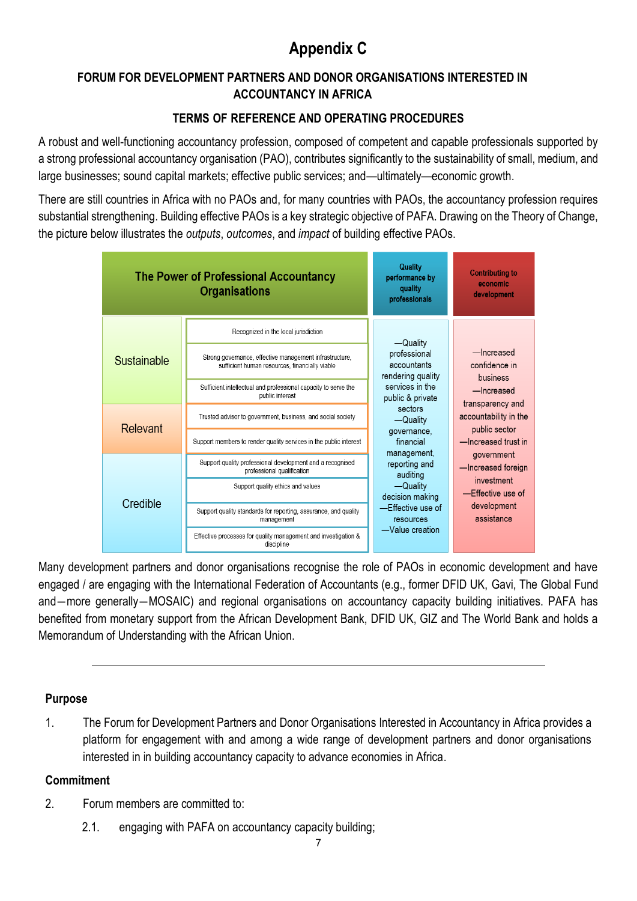# **Appendix C**

# **FORUM FOR DEVELOPMENT PARTNERS AND DONOR ORGANISATIONS INTERESTED IN ACCOUNTANCY IN AFRICA**

# **TERMS OF REFERENCE AND OPERATING PROCEDURES**

A robust and well-functioning accountancy profession, composed of competent and capable professionals supported by a strong professional accountancy organisation (PAO), contributes significantly to the sustainability of small, medium, and large businesses; sound capital markets; effective public services; and—ultimately—economic growth.

There are still countries in Africa with no PAOs and, for many countries with PAOs, the accountancy profession requires substantial strengthening. Building effective PAOs is a key strategic objective of PAFA. Drawing on the Theory of Change, the picture below illustrates the *outputs*, *outcomes*, and *impact* of building effective PAOs.



Many development partners and donor organisations recognise the role of PAOs in economic development and have engaged / are engaging with the International Federation of Accountants (e.g., former DFID UK, Gavi, The Global Fund and―more generally―MOSAIC) and regional organisations on accountancy capacity building initiatives. PAFA has benefited from monetary support from the African Development Bank, DFID UK, GIZ and The World Bank and holds a Memorandum of Understanding with the African Union.

# **Purpose**

1. The Forum for Development Partners and Donor Organisations Interested in Accountancy in Africa provides a platform for engagement with and among a wide range of development partners and donor organisations interested in in building accountancy capacity to advance economies in Africa.

# **Commitment**

- 2. Forum members are committed to:
	- 2.1. engaging with PAFA on accountancy capacity building;